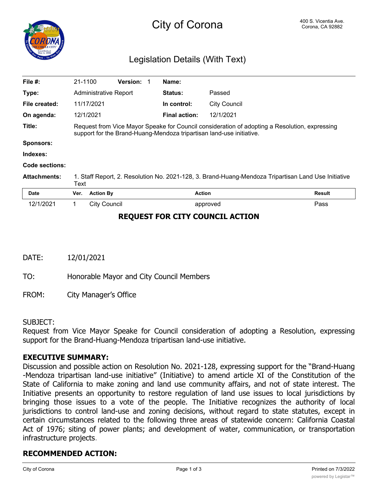

# Legislation Details (With Text)

| File $#$ :                             | 21-1100                                                                                                                                                               |                     | Version: 1 |  | Name:                |              |               |
|----------------------------------------|-----------------------------------------------------------------------------------------------------------------------------------------------------------------------|---------------------|------------|--|----------------------|--------------|---------------|
| Type:                                  | Administrative Report                                                                                                                                                 |                     |            |  | <b>Status:</b>       | Passed       |               |
| File created:                          |                                                                                                                                                                       | 11/17/2021          |            |  | In control:          | City Council |               |
| On agenda:                             |                                                                                                                                                                       | 12/1/2021           |            |  | <b>Final action:</b> | 12/1/2021    |               |
| Title:                                 | Request from Vice Mayor Speake for Council consideration of adopting a Resolution, expressing<br>support for the Brand-Huang-Mendoza tripartisan land-use initiative. |                     |            |  |                      |              |               |
| <b>Sponsors:</b>                       |                                                                                                                                                                       |                     |            |  |                      |              |               |
| Indexes:                               |                                                                                                                                                                       |                     |            |  |                      |              |               |
| Code sections:                         |                                                                                                                                                                       |                     |            |  |                      |              |               |
| <b>Attachments:</b>                    | 1. Staff Report, 2. Resolution No. 2021-128, 3. Brand-Huang-Mendoza Tripartisan Land Use Initiative<br>Text                                                           |                     |            |  |                      |              |               |
| Date                                   | Ver.                                                                                                                                                                  | <b>Action By</b>    |            |  | <b>Action</b>        |              | <b>Result</b> |
| 12/1/2021                              | 1.                                                                                                                                                                    | <b>City Council</b> |            |  |                      | approved     | Pass          |
| <b>REQUEST FOR CITY COUNCIL ACTION</b> |                                                                                                                                                                       |                     |            |  |                      |              |               |

DATE: 12/01/2021

TO: Honorable Mayor and City Council Members

FROM: City Manager's Office

#### SUBJECT:

Request from Vice Mayor Speake for Council consideration of adopting a Resolution, expressing support for the Brand-Huang-Mendoza tripartisan land-use initiative.

#### **EXECUTIVE SUMMARY:**

Discussion and possible action on Resolution No. 2021-128, expressing support for the "Brand-Huang -Mendoza tripartisan land-use initiative" (Initiative) to amend article XI of the Constitution of the State of California to make zoning and land use community affairs, and not of state interest. The Initiative presents an opportunity to restore regulation of land use issues to local jurisdictions by bringing those issues to a vote of the people. The Initiative recognizes the authority of local jurisdictions to control land-use and zoning decisions, without regard to state statutes, except in certain circumstances related to the following three areas of statewide concern: California Coastal Act of 1976; siting of power plants; and development of water, communication, or transportation infrastructure projects.

# **RECOMMENDED ACTION:**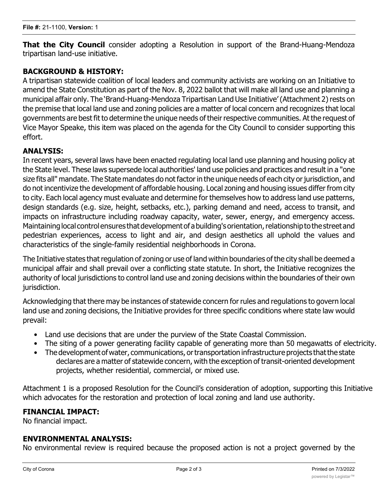**That the City Council** consider adopting a Resolution in support of the Brand-Huang-Mendoza tripartisan land-use initiative.

### **BACKGROUND & HISTORY:**

A tripartisan statewide coalition of local leaders and community activists are working on an Initiative to amend the State Constitution as part of the Nov. 8, 2022 ballot that will make all land use and planning a municipal affair only. The 'Brand-Huang-Mendoza Tripartisan Land Use Initiative' (Attachment 2) rests on the premise that local land use and zoning policies are a matter of local concern and recognizes that local governments are best fit to determine the unique needs of their respective communities. At the request of Vice Mayor Speake, this item was placed on the agenda for the City Council to consider supporting this effort.

#### **ANALYSIS:**

In recent years, several laws have been enacted regulating local land use planning and housing policy at the State level. These laws supersede local authorities' land use policies and practices and result in a "one size fits all" mandate. The State mandates do not factor in the unique needs of each city or jurisdiction, and do not incentivize the development of affordable housing. Local zoning and housing issues differ from city to city. Each local agency must evaluate and determine for themselves how to address land use patterns, design standards (e.g. size, height, setbacks, etc.), parking demand and need, access to transit, and impacts on infrastructure including roadway capacity, water, sewer, energy, and emergency access. Maintaining local control ensures that development of a building's orientation, relationship to the street and pedestrian experiences, access to light and air, and design aesthetics all uphold the values and characteristics of the single-family residential neighborhoods in Corona.

The Initiative states that regulation of zoning or use of land within boundaries of the city shall be deemed a municipal affair and shall prevail over a conflicting state statute. In short, the Initiative recognizes the authority of local jurisdictions to control land use and zoning decisions within the boundaries of their own jurisdiction.

Acknowledging that there may be instances of statewide concern for rules and regulations to govern local land use and zoning decisions, the Initiative provides for three specific conditions where state law would prevail:

- Land use decisions that are under the purview of the State Coastal Commission.
- The siting of a power generating facility capable of generating more than 50 megawatts of electricity.
- The development of water, communications, or transportation infrastructure projects that the state declares are a matter of statewide concern, with the exception of transit-oriented development projects, whether residential, commercial, or mixed use.

Attachment 1 is a proposed Resolution for the Council's consideration of adoption, supporting this Initiative which advocates for the restoration and protection of local zoning and land use authority.

# **FINANCIAL IMPACT:**

No financial impact.

#### **ENVIRONMENTAL ANALYSIS:**

No environmental review is required because the proposed action is not a project governed by the